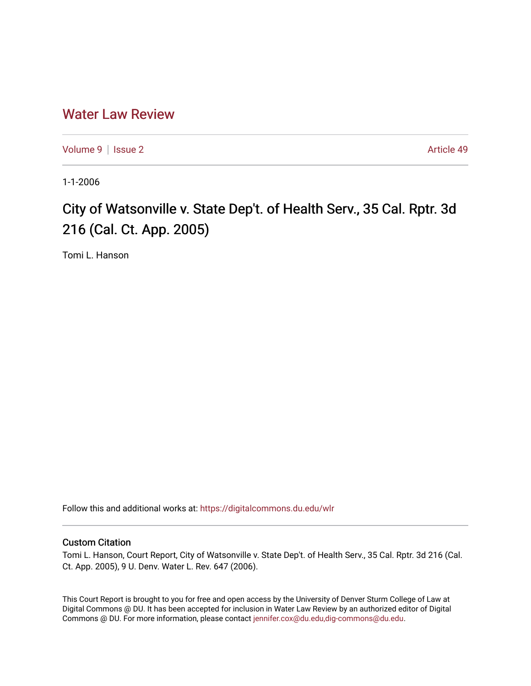## [Water Law Review](https://digitalcommons.du.edu/wlr)

[Volume 9](https://digitalcommons.du.edu/wlr/vol9) | [Issue 2](https://digitalcommons.du.edu/wlr/vol9/iss2) Article 49

1-1-2006

## City of Watsonville v. State Dep't. of Health Serv., 35 Cal. Rptr. 3d 216 (Cal. Ct. App. 2005)

Tomi L. Hanson

Follow this and additional works at: [https://digitalcommons.du.edu/wlr](https://digitalcommons.du.edu/wlr?utm_source=digitalcommons.du.edu%2Fwlr%2Fvol9%2Fiss2%2F49&utm_medium=PDF&utm_campaign=PDFCoverPages) 

## Custom Citation

Tomi L. Hanson, Court Report, City of Watsonville v. State Dep't. of Health Serv., 35 Cal. Rptr. 3d 216 (Cal. Ct. App. 2005), 9 U. Denv. Water L. Rev. 647 (2006).

This Court Report is brought to you for free and open access by the University of Denver Sturm College of Law at Digital Commons @ DU. It has been accepted for inclusion in Water Law Review by an authorized editor of Digital Commons @ DU. For more information, please contact [jennifer.cox@du.edu,dig-commons@du.edu.](mailto:jennifer.cox@du.edu,dig-commons@du.edu)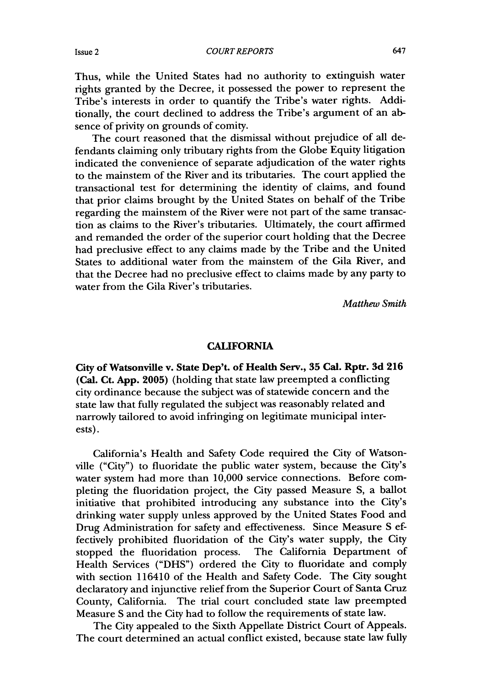Thus, while the United States had no authority to extinguish water rights granted by the Decree, it possessed the power to represent the Tribe's interests in order to quantify the Tribe's water rights. Additionally, the court declined to address the Tribe's argument of an absence of privity on grounds of comity.

The court reasoned that the dismissal without prejudice of all defendants claiming only tributary rights from the Globe Equity litigation indicated the convenience of separate adjudication of the water rights to the mainstem of the River and its tributaries. The court applied the transactional test for determining the identity of claims, and found that prior claims brought by the United States on behalf of the Tribe regarding the mainstem of the River were not part of the same transaction as claims to the River's tributaries. Ultimately, the court affirmed and remanded the order of the superior court holding that the Decree had preclusive effect to any claims made by the Tribe and the United States to additional water from the mainstem of the Gila River, and that the Decree had no preclusive effect to claims made by any party to water from the Gila River's tributaries.

*Matthew Smith*

## **CALIFORNIA**

**City of Watsonville v. State Dep't. of Health Serv., 35 Cal. Rptr. 3d 216 (Cal. Ct. App. 2005)** (holding that state law preempted a conflicting city ordinance because the subject was of statewide concern and the state law that fully regulated the subject was reasonably related and narrowly tailored to avoid infringing on legitimate municipal interests).

California's Health and Safety Code required the City of Watsonville ("City") to fluoridate the public water system, because the City's water system had more than 10,000 service connections. Before completing the fluoridation project, the City passed Measure **S,** a ballot initiative that prohibited introducing any substance into the City's drinking water supply unless approved by the United States Food and Drug Administration for safety and effectiveness. Since Measure S effectively prohibited fluoridation of the City's water supply, the City stopped the fluoridation process. The California Department of Health Services ("DHS") ordered the City to fluoridate and comply with section 116410 of the Health and Safety Code. The City sought declaratory and injunctive relief from the Superior Court of Santa Cruz County, California. The trial court concluded state law preempted Measure S and the City had to follow the requirements of state law.

The City appealed to the Sixth Appellate District Court of Appeals. The court determined an actual conflict existed, because state law fully